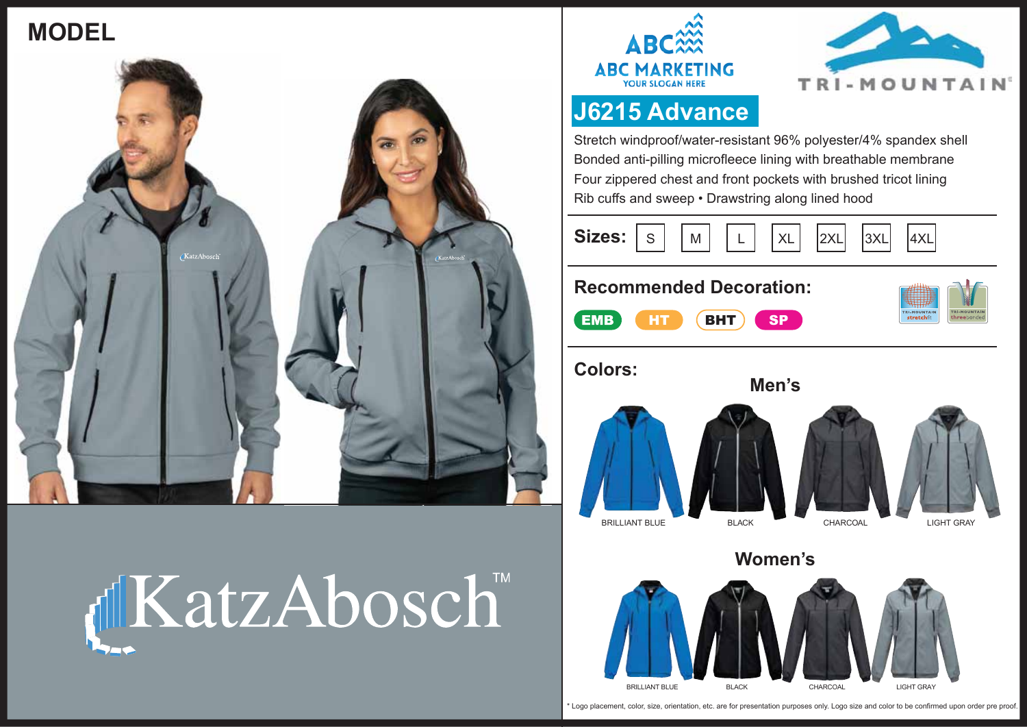## **MODEL**









### **J6215 Advance**

Stretch windproof/water-resistant 96% polyester/4% spandex shell Bonded anti-pilling microfleece lining with breathable membrane Four zippered chest and front pockets with brushed tricot lining Rib cuffs and sweep • Drawstring along lined hood

**Sizes:** S | |M | |L | |XL | |2XL| |3XL| |4XL

#### **Recommended Decoration:**







**Women's**

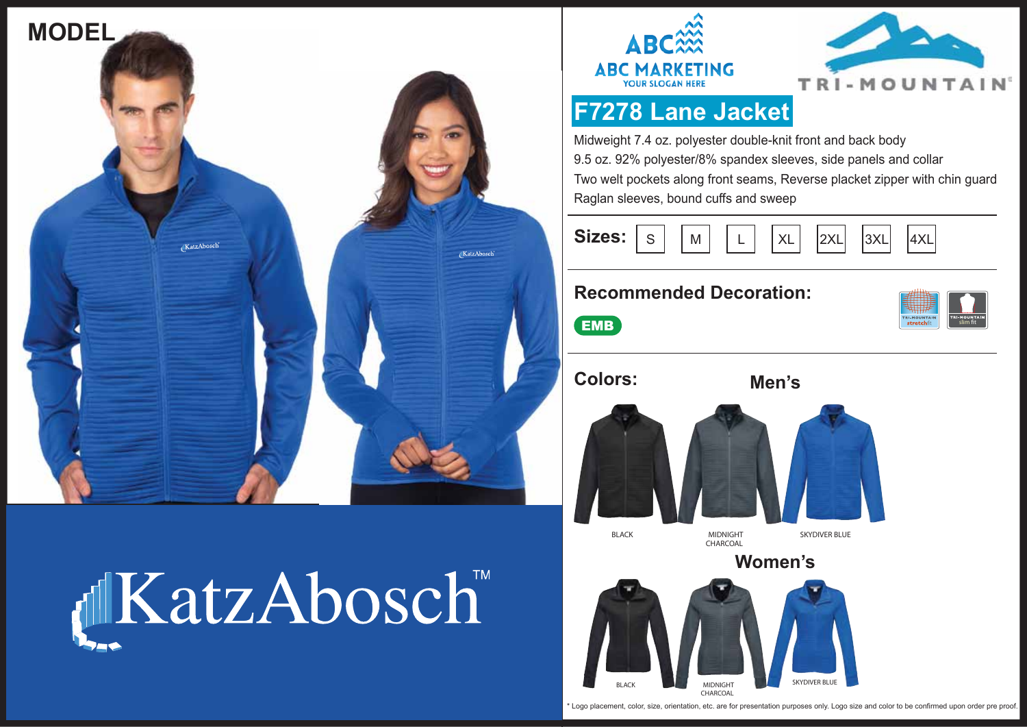







**slim** t

# **F7278 Lane Jacket**

Midweight 7.4 oz. polyester double-knit front and back body 9.5 oz. 92% polyester/8% spandex sleeves, side panels and collar Two welt pockets along front seams, Reverse placket zipper with chin guard Raglan sleeves, bound cuffs and sweep

| Sizes: $\boxed{s}$ $\boxed{M}$ $\boxed{L}$ $\boxed{xL}$ $\boxed{2xL}$ $\boxed{3xL}$ $\boxed{}$ |  |  |  |  |  |  | 4XL |
|------------------------------------------------------------------------------------------------|--|--|--|--|--|--|-----|
|------------------------------------------------------------------------------------------------|--|--|--|--|--|--|-----|

### **Recommended Decoration:**

 $<sub>em</sub>$ </sub>



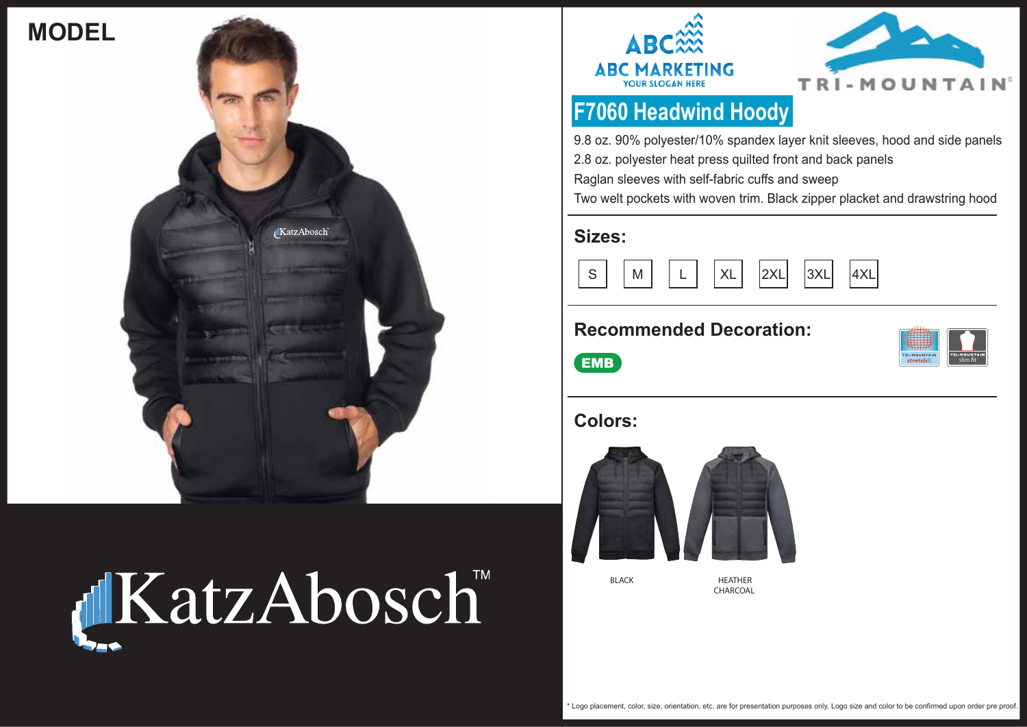







### **F7060 Headwind Hoody**

9.8 oz. 90% polyester/10% spandex layer knit sleeves, hood and side panels 2.8 oz. polyester heat press quilted front and back panels

Raglan sleeves with self-fabric cuffs and sweep

Two welt pockets with woven trim. Black zipper placket and drawstring hood

#### **Sizes:**



### **Recommended Decoration:**



 $\overline{\phantom{a}}$  EMB

### **Colors:**



**BLACK**

**HEATHER CHARCOAL**